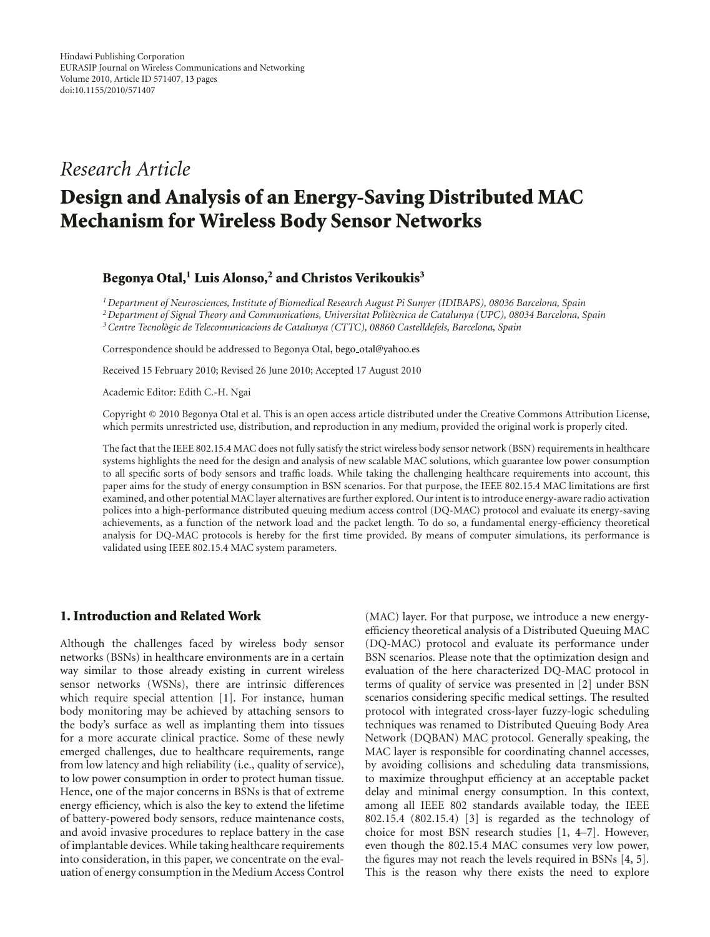# *Research Article*

# **Design and Analysis of an Energy-Saving Distributed MAC Mechanism for Wireless Body Sensor Networks**

#### **Begonya Otal,1 Luis Alonso,2 and Christos Verikoukis3**

*1Department of Neurosciences, Institute of Biomedical Research August Pi Sunyer (IDIBAPS), 08036 Barcelona, Spain 2Department of Signal Theory and Communications, Universitat Polit`ecnica de Catalunya (UPC), 08034 Barcelona, Spain 3Centre Tecnologic de Telecomunicacions de Catalunya (CTTC), 08860 Castelldefels, Barcelona, Spain `*

Correspondence should be addressed to Begonya Otal, bego\_otal@yahoo.es

Received 15 February 2010; Revised 26 June 2010; Accepted 17 August 2010

Academic Editor: Edith C.-H. Ngai

Copyright © 2010 Begonya Otal et al. This is an open access article distributed under the Creative Commons Attribution License, which permits unrestricted use, distribution, and reproduction in any medium, provided the original work is properly cited.

The fact that the IEEE 802.15.4 MAC does not fully satisfy the strict wireless body sensor network (BSN) requirements in healthcare systems highlights the need for the design and analysis of new scalable MAC solutions, which guarantee low power consumption to all specific sorts of body sensors and traffic loads. While taking the challenging healthcare requirements into account, this paper aims for the study of energy consumption in BSN scenarios. For that purpose, the IEEE 802.15.4 MAC limitations are first examined, and other potential MAC layer alternatives are further explored. Our intent is to introduce energy-aware radio activation polices into a high-performance distributed queuing medium access control (DQ-MAC) protocol and evaluate its energy-saving achievements, as a function of the network load and the packet length. To do so, a fundamental energy-efficiency theoretical analysis for DQ-MAC protocols is hereby for the first time provided. By means of computer simulations, its performance is validated using IEEE 802.15.4 MAC system parameters.

#### **1. Introduction and Related Work**

Although the challenges faced by wireless body sensor networks (BSNs) in healthcare environments are in a certain way similar to those already existing in current wireless sensor networks (WSNs), there are intrinsic differences which require special attention [1]. For instance, human body monitoring may be achieved by attaching sensors to the body's surface as well as implanting them into tissues for a more accurate clinical practice. Some of these newly emerged challenges, due to healthcare requirements, range from low latency and high reliability (i.e., quality of service), to low power consumption in order to protect human tissue. Hence, one of the major concerns in BSNs is that of extreme energy efficiency, which is also the key to extend the lifetime of battery-powered body sensors, reduce maintenance costs, and avoid invasive procedures to replace battery in the case of implantable devices. While taking healthcare requirements into consideration, in this paper, we concentrate on the evaluation of energy consumption in the Medium Access Control

(MAC) layer. For that purpose, we introduce a new energyefficiency theoretical analysis of a Distributed Queuing MAC (DQ-MAC) protocol and evaluate its performance under BSN scenarios. Please note that the optimization design and evaluation of the here characterized DQ-MAC protocol in terms of quality of service was presented in [2] under BSN scenarios considering specific medical settings. The resulted protocol with integrated cross-layer fuzzy-logic scheduling techniques was renamed to Distributed Queuing Body Area Network (DQBAN) MAC protocol. Generally speaking, the MAC layer is responsible for coordinating channel accesses, by avoiding collisions and scheduling data transmissions, to maximize throughput efficiency at an acceptable packet delay and minimal energy consumption. In this context, among all IEEE 802 standards available today, the IEEE 802.15.4 (802.15.4) [3] is regarded as the technology of choice for most BSN research studies [1, 4–7]. However, even though the 802.15.4 MAC consumes very low power, the figures may not reach the levels required in BSNs [4, 5]. This is the reason why there exists the need to explore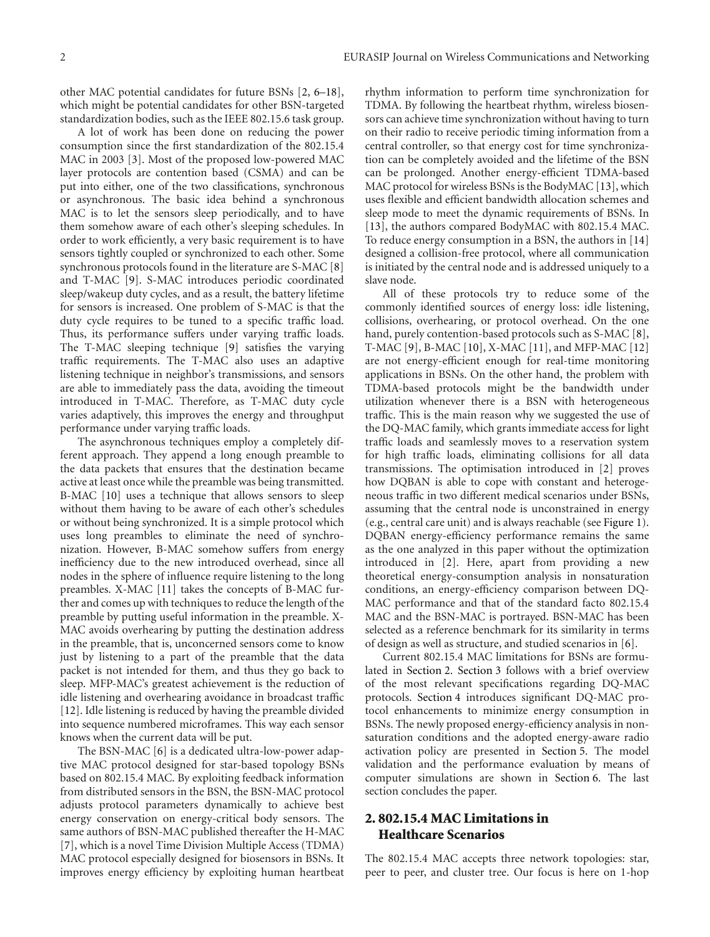other MAC potential candidates for future BSNs [2, 6–18], which might be potential candidates for other BSN-targeted standardization bodies, such as the IEEE 802.15.6 task group.

A lot of work has been done on reducing the power consumption since the first standardization of the 802.15.4 MAC in 2003 [3]. Most of the proposed low-powered MAC layer protocols are contention based (CSMA) and can be put into either, one of the two classifications, synchronous or asynchronous. The basic idea behind a synchronous MAC is to let the sensors sleep periodically, and to have them somehow aware of each other's sleeping schedules. In order to work efficiently, a very basic requirement is to have sensors tightly coupled or synchronized to each other. Some synchronous protocols found in the literature are S-MAC [8] and T-MAC [9]. S-MAC introduces periodic coordinated sleep/wakeup duty cycles, and as a result, the battery lifetime for sensors is increased. One problem of S-MAC is that the duty cycle requires to be tuned to a specific traffic load. Thus, its performance suffers under varying traffic loads. The T-MAC sleeping technique [9] satisfies the varying traffic requirements. The T-MAC also uses an adaptive listening technique in neighbor's transmissions, and sensors are able to immediately pass the data, avoiding the timeout introduced in T-MAC. Therefore, as T-MAC duty cycle varies adaptively, this improves the energy and throughput performance under varying traffic loads.

The asynchronous techniques employ a completely different approach. They append a long enough preamble to the data packets that ensures that the destination became active at least once while the preamble was being transmitted. B-MAC [10] uses a technique that allows sensors to sleep without them having to be aware of each other's schedules or without being synchronized. It is a simple protocol which uses long preambles to eliminate the need of synchronization. However, B-MAC somehow suffers from energy inefficiency due to the new introduced overhead, since all nodes in the sphere of influence require listening to the long preambles. X-MAC [11] takes the concepts of B-MAC further and comes up with techniques to reduce the length of the preamble by putting useful information in the preamble. X-MAC avoids overhearing by putting the destination address in the preamble, that is, unconcerned sensors come to know just by listening to a part of the preamble that the data packet is not intended for them, and thus they go back to sleep. MFP-MAC's greatest achievement is the reduction of idle listening and overhearing avoidance in broadcast traffic [12]. Idle listening is reduced by having the preamble divided into sequence numbered microframes. This way each sensor knows when the current data will be put.

The BSN-MAC [6] is a dedicated ultra-low-power adaptive MAC protocol designed for star-based topology BSNs based on 802.15.4 MAC. By exploiting feedback information from distributed sensors in the BSN, the BSN-MAC protocol adjusts protocol parameters dynamically to achieve best energy conservation on energy-critical body sensors. The same authors of BSN-MAC published thereafter the H-MAC [7], which is a novel Time Division Multiple Access (TDMA) MAC protocol especially designed for biosensors in BSNs. It improves energy efficiency by exploiting human heartbeat

rhythm information to perform time synchronization for TDMA. By following the heartbeat rhythm, wireless biosensors can achieve time synchronization without having to turn on their radio to receive periodic timing information from a central controller, so that energy cost for time synchronization can be completely avoided and the lifetime of the BSN can be prolonged. Another energy-efficient TDMA-based MAC protocol for wireless BSNs is the BodyMAC [13], which uses flexible and efficient bandwidth allocation schemes and sleep mode to meet the dynamic requirements of BSNs. In [13], the authors compared BodyMAC with 802.15.4 MAC. To reduce energy consumption in a BSN, the authors in [14] designed a collision-free protocol, where all communication is initiated by the central node and is addressed uniquely to a slave node.

All of these protocols try to reduce some of the commonly identified sources of energy loss: idle listening, collisions, overhearing, or protocol overhead. On the one hand, purely contention-based protocols such as S-MAC [8], T-MAC [9], B-MAC [10], X-MAC [11], and MFP-MAC [12] are not energy-efficient enough for real-time monitoring applications in BSNs. On the other hand, the problem with TDMA-based protocols might be the bandwidth under utilization whenever there is a BSN with heterogeneous traffic. This is the main reason why we suggested the use of the DQ-MAC family, which grants immediate access for light traffic loads and seamlessly moves to a reservation system for high traffic loads, eliminating collisions for all data transmissions. The optimisation introduced in [2] proves how DQBAN is able to cope with constant and heterogeneous traffic in two different medical scenarios under BSNs, assuming that the central node is unconstrained in energy (e.g., central care unit) and is always reachable (see Figure 1). DQBAN energy-efficiency performance remains the same as the one analyzed in this paper without the optimization introduced in [2]. Here, apart from providing a new theoretical energy-consumption analysis in nonsaturation conditions, an energy-efficiency comparison between DQ-MAC performance and that of the standard facto 802.15.4 MAC and the BSN-MAC is portrayed. BSN-MAC has been selected as a reference benchmark for its similarity in terms of design as well as structure, and studied scenarios in [6].

Current 802.15.4 MAC limitations for BSNs are formulated in Section 2. Section 3 follows with a brief overview of the most relevant specifications regarding DQ-MAC protocols. Section 4 introduces significant DQ-MAC protocol enhancements to minimize energy consumption in BSNs. The newly proposed energy-efficiency analysis in nonsaturation conditions and the adopted energy-aware radio activation policy are presented in Section 5. The model validation and the performance evaluation by means of computer simulations are shown in Section 6. The last section concludes the paper.

### **2. 802.15.4 MAC Limitations in Healthcare Scenarios**

The 802.15.4 MAC accepts three network topologies: star, peer to peer, and cluster tree. Our focus is here on 1-hop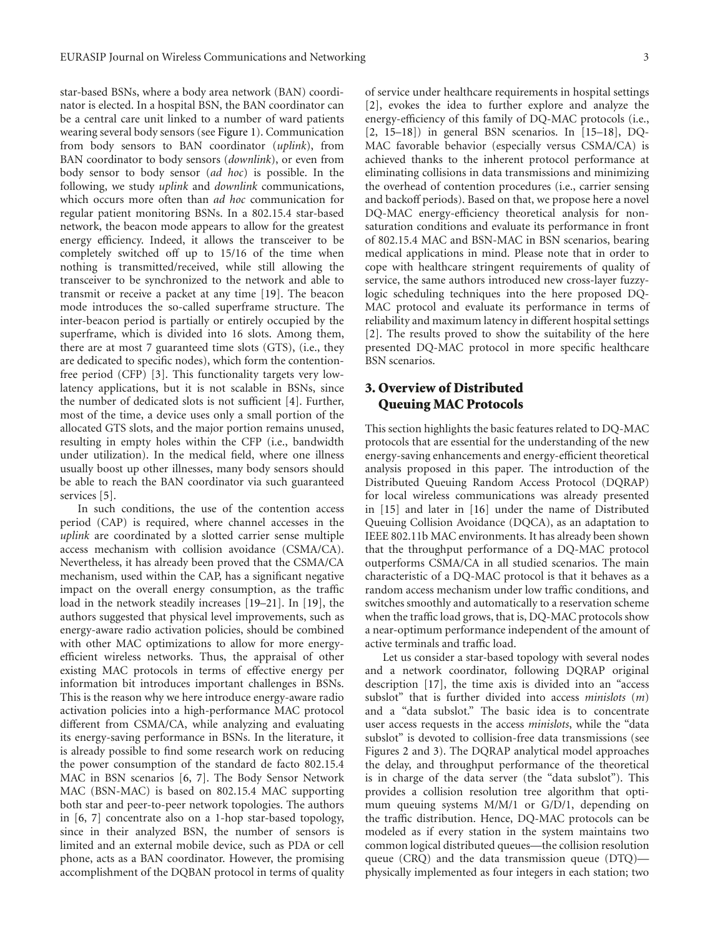star-based BSNs, where a body area network (BAN) coordinator is elected. In a hospital BSN, the BAN coordinator can be a central care unit linked to a number of ward patients wearing several body sensors (see Figure 1). Communication from body sensors to BAN coordinator (*uplink*), from BAN coordinator to body sensors (*downlink*), or even from body sensor to body sensor (*ad hoc*) is possible. In the following, we study *uplink* and *downlink* communications, which occurs more often than *ad hoc* communication for regular patient monitoring BSNs. In a 802.15.4 star-based network, the beacon mode appears to allow for the greatest energy efficiency. Indeed, it allows the transceiver to be completely switched off up to 15/16 of the time when nothing is transmitted/received, while still allowing the transceiver to be synchronized to the network and able to transmit or receive a packet at any time [19]. The beacon mode introduces the so-called superframe structure. The inter-beacon period is partially or entirely occupied by the superframe, which is divided into 16 slots. Among them, there are at most 7 guaranteed time slots (GTS), (i.e., they are dedicated to specific nodes), which form the contentionfree period (CFP) [3]. This functionality targets very lowlatency applications, but it is not scalable in BSNs, since the number of dedicated slots is not sufficient [4]. Further, most of the time, a device uses only a small portion of the allocated GTS slots, and the major portion remains unused, resulting in empty holes within the CFP (i.e., bandwidth under utilization). In the medical field, where one illness usually boost up other illnesses, many body sensors should be able to reach the BAN coordinator via such guaranteed services [5].

In such conditions, the use of the contention access period (CAP) is required, where channel accesses in the *uplink* are coordinated by a slotted carrier sense multiple access mechanism with collision avoidance (CSMA/CA). Nevertheless, it has already been proved that the CSMA/CA mechanism, used within the CAP, has a significant negative impact on the overall energy consumption, as the traffic load in the network steadily increases [19–21]. In [19], the authors suggested that physical level improvements, such as energy-aware radio activation policies, should be combined with other MAC optimizations to allow for more energyefficient wireless networks. Thus, the appraisal of other existing MAC protocols in terms of effective energy per information bit introduces important challenges in BSNs. This is the reason why we here introduce energy-aware radio activation policies into a high-performance MAC protocol different from CSMA/CA, while analyzing and evaluating its energy-saving performance in BSNs. In the literature, it is already possible to find some research work on reducing the power consumption of the standard de facto 802.15.4 MAC in BSN scenarios [6, 7]. The Body Sensor Network MAC (BSN-MAC) is based on 802.15.4 MAC supporting both star and peer-to-peer network topologies. The authors in [6, 7] concentrate also on a 1-hop star-based topology, since in their analyzed BSN, the number of sensors is limited and an external mobile device, such as PDA or cell phone, acts as a BAN coordinator. However, the promising accomplishment of the DQBAN protocol in terms of quality

of service under healthcare requirements in hospital settings [2], evokes the idea to further explore and analyze the energy-efficiency of this family of DQ-MAC protocols (i.e., [2, 15–18]) in general BSN scenarios. In [15–18], DQ-MAC favorable behavior (especially versus CSMA/CA) is achieved thanks to the inherent protocol performance at eliminating collisions in data transmissions and minimizing the overhead of contention procedures (i.e., carrier sensing and backoff periods). Based on that, we propose here a novel DQ-MAC energy-efficiency theoretical analysis for nonsaturation conditions and evaluate its performance in front of 802.15.4 MAC and BSN-MAC in BSN scenarios, bearing medical applications in mind. Please note that in order to cope with healthcare stringent requirements of quality of service, the same authors introduced new cross-layer fuzzylogic scheduling techniques into the here proposed DQ-MAC protocol and evaluate its performance in terms of reliability and maximum latency in different hospital settings [2]. The results proved to show the suitability of the here presented DQ-MAC protocol in more specific healthcare BSN scenarios.

## **3. Overview of Distributed Queuing MAC Protocols**

This section highlights the basic features related to DQ-MAC protocols that are essential for the understanding of the new energy-saving enhancements and energy-efficient theoretical analysis proposed in this paper. The introduction of the Distributed Queuing Random Access Protocol (DQRAP) for local wireless communications was already presented in [15] and later in [16] under the name of Distributed Queuing Collision Avoidance (DQCA), as an adaptation to IEEE 802.11b MAC environments. It has already been shown that the throughput performance of a DQ-MAC protocol outperforms CSMA/CA in all studied scenarios. The main characteristic of a DQ-MAC protocol is that it behaves as a random access mechanism under low traffic conditions, and switches smoothly and automatically to a reservation scheme when the traffic load grows, that is, DQ-MAC protocols show a near-optimum performance independent of the amount of active terminals and traffic load.

Let us consider a star-based topology with several nodes and a network coordinator, following DQRAP original description [17], the time axis is divided into an "access subslot" that is further divided into access *minislots* (*m*) and a "data subslot." The basic idea is to concentrate user access requests in the access *minislots*, while the "data subslot" is devoted to collision-free data transmissions (see Figures 2 and 3). The DQRAP analytical model approaches the delay, and throughput performance of the theoretical is in charge of the data server (the "data subslot"). This provides a collision resolution tree algorithm that optimum queuing systems M/M/1 or G/D/1, depending on the traffic distribution. Hence, DQ-MAC protocols can be modeled as if every station in the system maintains two common logical distributed queues—the collision resolution queue (CRQ) and the data transmission queue (DTQ) physically implemented as four integers in each station; two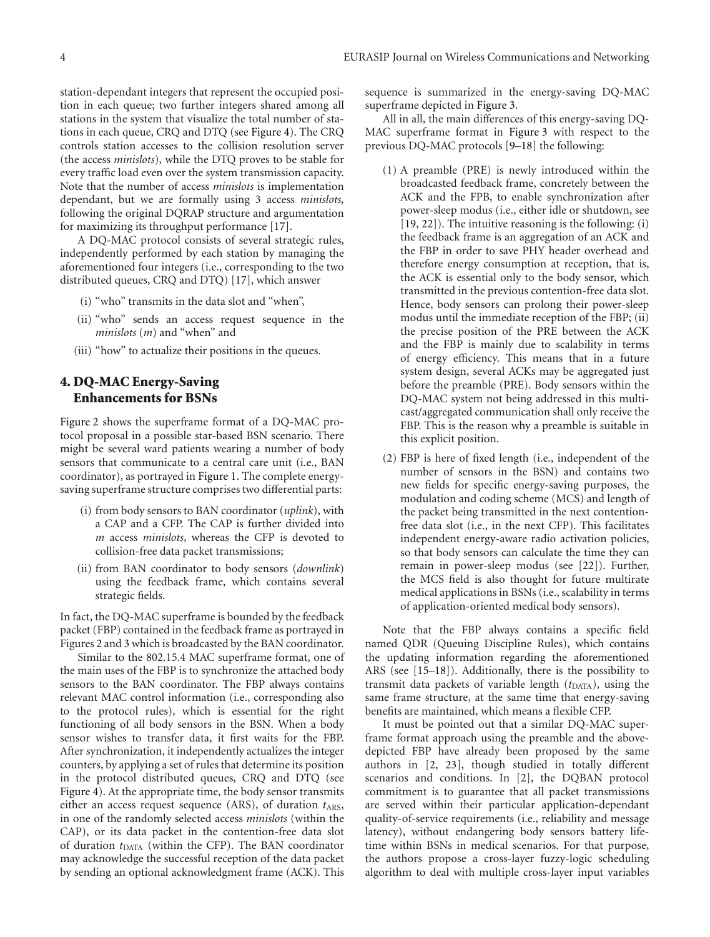station-dependant integers that represent the occupied position in each queue; two further integers shared among all stations in the system that visualize the total number of stations in each queue, CRQ and DTQ (see Figure 4). The CRQ controls station accesses to the collision resolution server (the access *minislots*), while the DTQ proves to be stable for every traffic load even over the system transmission capacity. Note that the number of access *minislots* is implementation dependant, but we are formally using 3 access *minislots,* following the original DQRAP structure and argumentation for maximizing its throughput performance [17].

A DQ-MAC protocol consists of several strategic rules, independently performed by each station by managing the aforementioned four integers (i.e., corresponding to the two distributed queues, CRQ and DTQ) [17], which answer

- (i) "who" transmits in the data slot and "when",
- (ii) "who" sends an access request sequence in the *minislots* (*m*) and "when" and
- (iii) "how" to actualize their positions in the queues.

#### **4. DQ-MAC Energy-Saving Enhancements for BSNs**

Figure 2 shows the superframe format of a DQ-MAC protocol proposal in a possible star-based BSN scenario. There might be several ward patients wearing a number of body sensors that communicate to a central care unit (i.e., BAN coordinator), as portrayed in Figure 1. The complete energysaving superframe structure comprises two differential parts:

- (i) from body sensors to BAN coordinator (*uplink*), with a CAP and a CFP. The CAP is further divided into *m* access *minislots*, whereas the CFP is devoted to collision-free data packet transmissions;
- (ii) from BAN coordinator to body sensors (*downlink*) using the feedback frame, which contains several strategic fields.

In fact, the DQ-MAC superframe is bounded by the feedback packet (FBP) contained in the feedback frame as portrayed in Figures 2 and 3 which is broadcasted by the BAN coordinator.

Similar to the 802.15.4 MAC superframe format, one of the main uses of the FBP is to synchronize the attached body sensors to the BAN coordinator. The FBP always contains relevant MAC control information (i.e., corresponding also to the protocol rules), which is essential for the right functioning of all body sensors in the BSN. When a body sensor wishes to transfer data, it first waits for the FBP. After synchronization, it independently actualizes the integer counters, by applying a set of rules that determine its position in the protocol distributed queues, CRQ and DTQ (see Figure 4). At the appropriate time, the body sensor transmits either an access request sequence (ARS), of duration  $t_{ARS}$ , in one of the randomly selected access *minislots* (within the CAP), or its data packet in the contention-free data slot of duration  $t_{\text{DATA}}$  (within the CFP). The BAN coordinator may acknowledge the successful reception of the data packet by sending an optional acknowledgment frame (ACK). This

sequence is summarized in the energy-saving DQ-MAC superframe depicted in Figure 3.

All in all, the main differences of this energy-saving DQ-MAC superframe format in Figure 3 with respect to the previous DQ-MAC protocols [9–18] the following:

- (1) A preamble (PRE) is newly introduced within the broadcasted feedback frame, concretely between the ACK and the FPB, to enable synchronization after power-sleep modus (i.e., either idle or shutdown, see [19, 22]). The intuitive reasoning is the following: (i) the feedback frame is an aggregation of an ACK and the FBP in order to save PHY header overhead and therefore energy consumption at reception, that is, the ACK is essential only to the body sensor, which transmitted in the previous contention-free data slot. Hence, body sensors can prolong their power-sleep modus until the immediate reception of the FBP; (ii) the precise position of the PRE between the ACK and the FBP is mainly due to scalability in terms of energy efficiency. This means that in a future system design, several ACKs may be aggregated just before the preamble (PRE). Body sensors within the DQ-MAC system not being addressed in this multicast/aggregated communication shall only receive the FBP. This is the reason why a preamble is suitable in this explicit position.
- (2) FBP is here of fixed length (i.e., independent of the number of sensors in the BSN) and contains two new fields for specific energy-saving purposes, the modulation and coding scheme (MCS) and length of the packet being transmitted in the next contentionfree data slot (i.e., in the next CFP). This facilitates independent energy-aware radio activation policies, so that body sensors can calculate the time they can remain in power-sleep modus (see [22]). Further, the MCS field is also thought for future multirate medical applications in BSNs (i.e., scalability in terms of application-oriented medical body sensors).

Note that the FBP always contains a specific field named QDR (Queuing Discipline Rules), which contains the updating information regarding the aforementioned ARS (see [15–18]). Additionally, there is the possibility to transmit data packets of variable length  $(t<sub>DATA</sub>)$ , using the same frame structure, at the same time that energy-saving benefits are maintained, which means a flexible CFP.

It must be pointed out that a similar DQ-MAC superframe format approach using the preamble and the abovedepicted FBP have already been proposed by the same authors in [2, 23], though studied in totally different scenarios and conditions. In [2], the DQBAN protocol commitment is to guarantee that all packet transmissions are served within their particular application-dependant quality-of-service requirements (i.e., reliability and message latency), without endangering body sensors battery lifetime within BSNs in medical scenarios. For that purpose, the authors propose a cross-layer fuzzy-logic scheduling algorithm to deal with multiple cross-layer input variables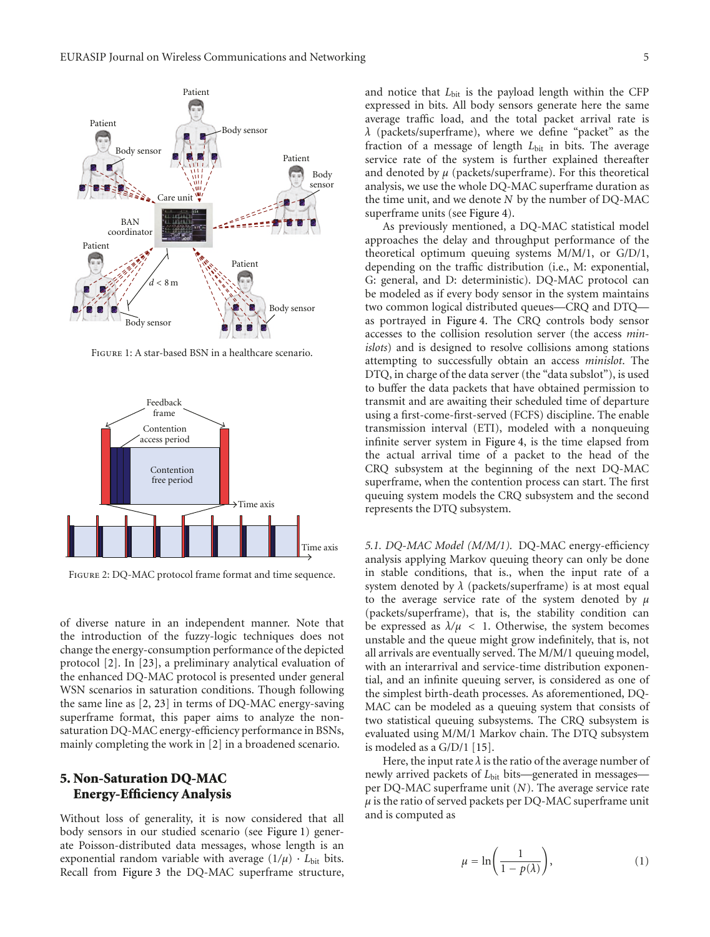

Figure 1: A star-based BSN in a healthcare scenario.



Figure 2: DQ-MAC protocol frame format and time sequence.

of diverse nature in an independent manner. Note that the introduction of the fuzzy-logic techniques does not change the energy-consumption performance of the depicted protocol [2]. In [23], a preliminary analytical evaluation of the enhanced DQ-MAC protocol is presented under general WSN scenarios in saturation conditions. Though following the same line as [2, 23] in terms of DQ-MAC energy-saving superframe format, this paper aims to analyze the nonsaturation DQ-MAC energy-efficiency performance in BSNs, mainly completing the work in [2] in a broadened scenario.

#### **5. Non-Saturation DQ-MAC Energy-Efficiency Analysis**

Without loss of generality, it is now considered that all body sensors in our studied scenario (see Figure 1) generate Poisson-distributed data messages, whose length is an exponential random variable with average  $(1/\mu) \cdot L_{\text{bit}}$  bits. Recall from Figure 3 the DQ-MAC superframe structure, and notice that  $L_{\text{bit}}$  is the payload length within the CFP expressed in bits. All body sensors generate here the same average traffic load, and the total packet arrival rate is *λ* (packets/superframe), where we define "packet" as the fraction of a message of length *L*<sub>bit</sub> in bits. The average service rate of the system is further explained thereafter and denoted by  $\mu$  (packets/superframe). For this theoretical analysis, we use the whole DQ-MAC superframe duration as the time unit, and we denote *N* by the number of DQ-MAC superframe units (see Figure 4).

As previously mentioned, a DQ-MAC statistical model approaches the delay and throughput performance of the theoretical optimum queuing systems M/M/1, or G/D/1, depending on the traffic distribution (i.e., M: exponential, G: general, and D: deterministic). DQ-MAC protocol can be modeled as if every body sensor in the system maintains two common logical distributed queues—CRQ and DTQ as portrayed in Figure 4. The CRQ controls body sensor accesses to the collision resolution server (the access *minislots*) and is designed to resolve collisions among stations attempting to successfully obtain an access *minislot*. The DTQ, in charge of the data server (the "data subslot"), is used to buffer the data packets that have obtained permission to transmit and are awaiting their scheduled time of departure using a first-come-first-served (FCFS) discipline. The enable transmission interval (ETI), modeled with a nonqueuing infinite server system in Figure 4, is the time elapsed from the actual arrival time of a packet to the head of the CRQ subsystem at the beginning of the next DQ-MAC superframe, when the contention process can start. The first queuing system models the CRQ subsystem and the second represents the DTQ subsystem.

*5.1. DQ-MAC Model (M/M/1).* DQ-MAC energy-efficiency analysis applying Markov queuing theory can only be done in stable conditions, that is., when the input rate of a system denoted by  $\lambda$  (packets/superframe) is at most equal to the average service rate of the system denoted by *μ* (packets/superframe), that is, the stability condition can be expressed as  $\lambda/\mu$  < 1. Otherwise, the system becomes unstable and the queue might grow indefinitely, that is, not all arrivals are eventually served. The M/M/1 queuing model, with an interarrival and service-time distribution exponential, and an infinite queuing server, is considered as one of the simplest birth-death processes. As aforementioned, DQ-MAC can be modeled as a queuing system that consists of two statistical queuing subsystems. The CRQ subsystem is evaluated using M/M/1 Markov chain. The DTQ subsystem is modeled as a G/D/1 [15].

Here, the input rate  $\lambda$  is the ratio of the average number of newly arrived packets of *L*bit bits—generated in messages per DQ-MAC superframe unit (*N*). The average service rate  $\mu$  is the ratio of served packets per DQ-MAC superframe unit and is computed as

$$
\mu = \ln\left(\frac{1}{1 - p(\lambda)}\right),\tag{1}
$$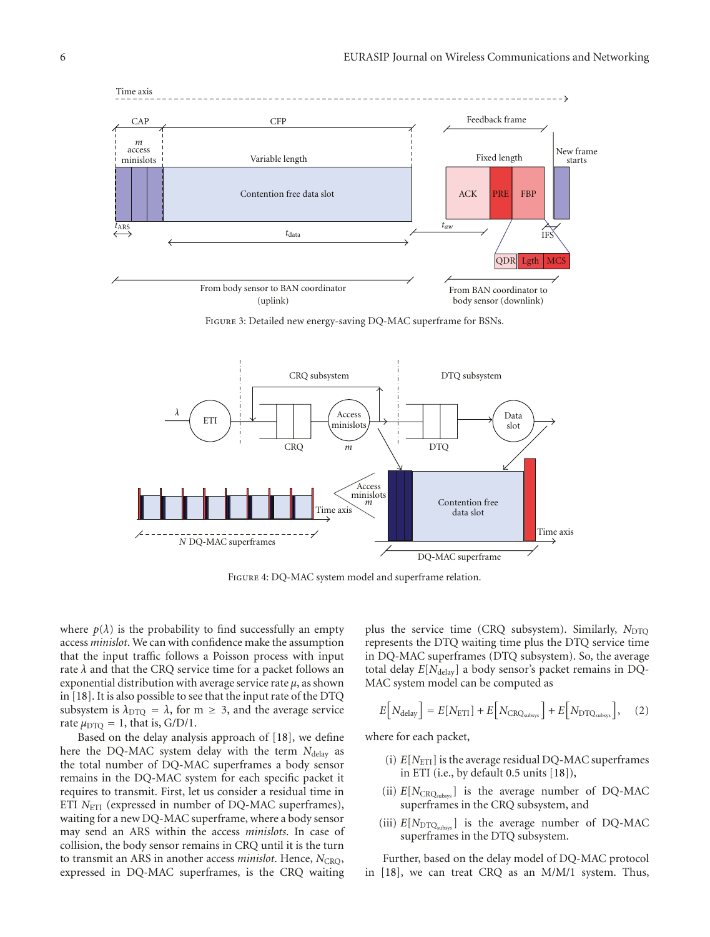



Figure 4: DQ-MAC system model and superframe relation.

where  $p(\lambda)$  is the probability to find successfully an empty access *minislot*. We can with confidence make the assumption that the input traffic follows a Poisson process with input rate *λ* and that the CRQ service time for a packet follows an exponential distribution with average service rate *μ*, as shown in [18]. It is also possible to see that the input rate of the DTQ subsystem is  $\lambda_{\text{DTO}} = \lambda$ , for m  $\geq 3$ , and the average service rate  $\mu_{\text{DTO}} = 1$ , that is, G/D/1.

Based on the delay analysis approach of [18], we define here the DQ-MAC system delay with the term  $N_{\text{delay}}$  as the total number of DQ-MAC superframes a body sensor remains in the DQ-MAC system for each specific packet it requires to transmit. First, let us consider a residual time in ETI *N*<sub>ETI</sub> (expressed in number of DQ-MAC superframes), waiting for a new DQ-MAC superframe, where a body sensor may send an ARS within the access *minislots*. In case of collision, the body sensor remains in CRQ until it is the turn to transmit an ARS in another access *minislot*. Hence, *N*<sub>CRO</sub>, expressed in DQ-MAC superframes, is the CRQ waiting

plus the service time (CRQ subsystem). Similarly, *N*<sub>DTQ</sub> represents the DTQ waiting time plus the DTQ service time in DQ-MAC superframes (DTQ subsystem). So, the average total delay  $E[N_{\text{delay}}]$  a body sensor's packet remains in DQ-MAC system model can be computed as

$$
E[N_{\text{delay}}] = E[N_{\text{ETI}}] + E[N_{\text{CRO}_{\text{subsys}}}] + E[N_{\text{DTQ}_{\text{subsys}}}], \quad (2)
$$

where for each packet,

- (i)  $E[N_{\text{ETI}}]$  is the average residual DQ-MAC superframes in ETI (i.e., by default 0.5 units [18]),
- (ii)  $E[N_{\text{CRQ}_{\text{subsys}}}]$  is the average number of DQ-MAC superframes in the CRQ subsystem, and
- (iii)  $E[N_{\text{DTO}_\text{subsvs}}]$  is the average number of DQ-MAC superframes in the DTQ subsystem.

Further, based on the delay model of DQ-MAC protocol in [18], we can treat CRQ as an M/M/1 system. Thus,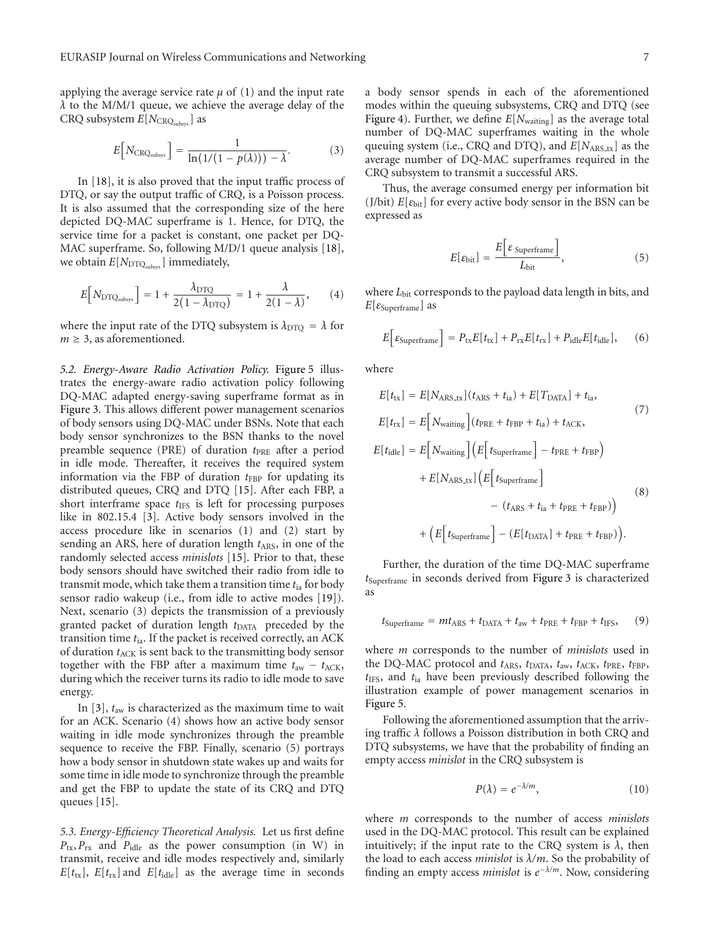applying the average service rate  $\mu$  of (1) and the input rate *λ* to the M/M/1 queue, we achieve the average delay of the CRQ subsystem  $E[N_{\text{CRQ}_{\text{subsys}}}]$  as

$$
E[N_{\text{CRQ}_{\text{subsys}}}] = \frac{1}{\ln(1/(1-p(\lambda))) - \lambda}.
$$
 (3)

In [18], it is also proved that the input traffic process of DTQ, or say the output traffic of CRQ, is a Poisson process. It is also assumed that the corresponding size of the here depicted DQ-MAC superframe is 1. Hence, for DTQ, the service time for a packet is constant, one packet per DQ-MAC superframe. So, following M/D/1 queue analysis [18], we obtain  $E[N_{\text{DTQ}_{\text{subsys}}}]$  immediately,

$$
E[N_{\text{DTQ}_{\text{subsys}}}] = 1 + \frac{\lambda_{\text{DTQ}}}{2(1 - \lambda_{\text{DTQ}})} = 1 + \frac{\lambda}{2(1 - \lambda)}, \qquad (4)
$$

where the input rate of the DTQ subsystem is  $\lambda_{\text{DTO}} = \lambda$  for  $m \geq 3$ , as aforementioned.

*5.2. Energy-Aware Radio Activation Policy.* Figure 5 illustrates the energy-aware radio activation policy following DQ-MAC adapted energy-saving superframe format as in Figure 3. This allows different power management scenarios of body sensors using DQ-MAC under BSNs. Note that each body sensor synchronizes to the BSN thanks to the novel preamble sequence (PRE) of duration  $t_{PRE}$  after a period in idle mode. Thereafter, it receives the required system information via the FBP of duration  $t_{FBP}$  for updating its distributed queues, CRQ and DTQ [15]. After each FBP, a short interframe space  $t_{\text{IFS}}$  is left for processing purposes like in 802.15.4 [3]. Active body sensors involved in the access procedure like in scenarios (1) and (2) start by sending an ARS, here of duration length  $t_{ARS}$ , in one of the randomly selected access *minislots* [15]. Prior to that, these body sensors should have switched their radio from idle to transmit mode, which take them a transition time *t*ia for body sensor radio wakeup (i.e., from idle to active modes [19]). Next, scenario (3) depicts the transmission of a previously granted packet of duration length  $t_{\text{DATA}}$  preceded by the transition time *t*ia. If the packet is received correctly, an ACK of duration  $t_{\text{ACK}}$  is sent back to the transmitting body sensor together with the FBP after a maximum time  $t_{\text{aw}} - t_{\text{ACK}}$ , during which the receiver turns its radio to idle mode to save energy.

In [3], *t*aw is characterized as the maximum time to wait for an ACK. Scenario (4) shows how an active body sensor waiting in idle mode synchronizes through the preamble sequence to receive the FBP. Finally, scenario (5) portrays how a body sensor in shutdown state wakes up and waits for some time in idle mode to synchronize through the preamble and get the FBP to update the state of its CRQ and DTQ queues [15].

*5.3. Energy-Efficiency Theoretical Analysis.* Let us first define  $P_{tx}$ ,  $P_{rx}$  and  $P_{idle}$  as the power consumption (in W) in transmit, receive and idle modes respectively and, similarly  $E[t_{\text{tx}}], E[t_{\text{rx}}]$  and  $E[t_{\text{idle}}]$  as the average time in seconds

a body sensor spends in each of the aforementioned modes within the queuing subsystems, CRQ and DTQ (see Figure 4). Further, we define *E*[*N*waiting] as the average total number of DQ-MAC superframes waiting in the whole queuing system (i.e., CRQ and DTQ), and  $E[N_{ARS,tx}]$  as the average number of DQ-MAC superframes required in the CRQ subsystem to transmit a successful ARS.

Thus, the average consumed energy per information bit (J/bit)  $E[\varepsilon_{\text{bit}}]$  for every active body sensor in the BSN can be expressed as

$$
E[\varepsilon_{\text{bit}}] = \frac{E\left[\varepsilon_{\text{Superframe}}\right]}{L_{\text{bit}}},\tag{5}
$$

where *L*<sub>bit</sub> corresponds to the payload data length in bits, and *E*[*ε*Superframe] as

$$
E\Big[\varepsilon_{\text{Superframe}}\Big] = P_{\text{tx}}E[t_{\text{tx}}] + P_{\text{rx}}E[t_{\text{rx}}] + P_{\text{idle}}E[t_{\text{idle}}],\qquad(6)
$$

where

$$
E[t_{tx}] = E[N_{ARS.txt}](t_{ARS} + t_{ia}) + E[T_{DATA}] + t_{ia},
$$
  
\n
$$
E[t_{rx}] = E[N_{waiting}](t_{PRE} + t_{FBP} + t_{ia}) + t_{ACK},
$$
  
\n
$$
E[t_{idle}] = E[N_{waiting}](E[t_{superframe}] - t_{PRE} + t_{FBP})
$$
  
\n
$$
+ E[N_{ARS.txt}](E[t_{superframe}] - (t_{ARS} + t_{ia} + t_{PRE} + t_{FBP}))
$$
  
\n
$$
+ (E[t_{superframe}] - (E[t_{DATA}] + t_{PRE} + t_{FBP})).
$$
  
\n(8)

Further, the duration of the time DQ-MAC superframe *t*Superframe in seconds derived from Figure 3 is characterized as

$$
t_{\text{Superframe}} = mt_{\text{ARS}} + t_{\text{DATA}} + t_{\text{aw}} + t_{\text{PRE}} + t_{\text{FBP}} + t_{\text{IFS}},\qquad(9)
$$

where *m* corresponds to the number of *minislots* used in the DQ-MAC protocol and  $t_{ARS}$ ,  $t_{DATA}$ ,  $t_{aw}$ ,  $t_{ACK}$ ,  $t_{PRE}$ ,  $t_{FBP}$ , *t*IFS, and *t*ia have been previously described following the illustration example of power management scenarios in Figure 5.

Following the aforementioned assumption that the arriving traffic *λ* follows a Poisson distribution in both CRQ and DTQ subsystems, we have that the probability of finding an empty access *minislot* in the CRQ subsystem is

$$
P(\lambda) = e^{-\lambda/m}, \tag{10}
$$

where *m* corresponds to the number of access *minislots* used in the DQ-MAC protocol. This result can be explained intuitively; if the input rate to the CRQ system is  $\lambda$ , then the load to each access *minislot* is *λ/m*. So the probability of finding an empty access *minislot* is *e*−*λ/m*. Now, considering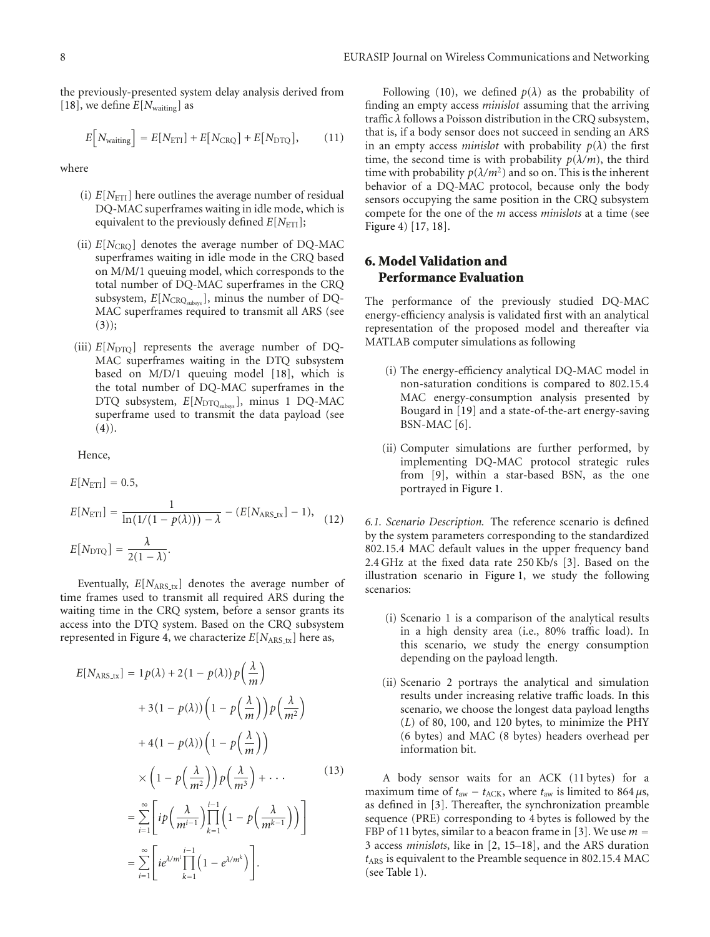the previously-presented system delay analysis derived from [18], we define  $E[N_{\text{waiting}}]$  as

$$
E[N_{\text{waiting}}] = E[N_{\text{ETI}}] + E[N_{\text{CRQ}}] + E[N_{\text{DTO}}],\tag{11}
$$

where

- (i)  $E[N<sub>ETI</sub>]$  here outlines the average number of residual DQ-MAC superframes waiting in idle mode, which is equivalent to the previously defined  $E[N<sub>ETI</sub>]$ ;
- (ii)  $E[N_{CRO}]$  denotes the average number of DQ-MAC superframes waiting in idle mode in the CRQ based on M/M/1 queuing model, which corresponds to the total number of DQ-MAC superframes in the CRQ subsystem,  $E[N_{\text{CRQ}_{\text{subsys}}}]$ , minus the number of DQ-MAC superframes required to transmit all ARS (see  $(3))$ ;
- (iii)  $E[N_{\text{DTO}}]$  represents the average number of DQ-MAC superframes waiting in the DTQ subsystem based on M/D/1 queuing model [18], which is the total number of DQ-MAC superframes in the DTQ subsystem,  $E[N_{\text{DTQ}_{\text{subsys}}}]$ , minus 1 DQ-MAC superframe used to transmit the data payload (see  $(4)$ .

Hence,

$$
E[N_{\text{ETI}}] = 0.5,
$$
  
\n
$$
E[N_{\text{ETI}}] = \frac{1}{\ln(1/(1 - p(\lambda))) - \lambda} - (E[N_{\text{ARS.txt}}] - 1),
$$
  
\n
$$
E[N_{\text{DTQ}}] = \frac{\lambda}{2(1 - \lambda)}.
$$
 (12)

Eventually,  $E[N_{ARS\_tx}]$  denotes the average number of time frames used to transmit all required ARS during the waiting time in the CRQ system, before a sensor grants its access into the DTQ system. Based on the CRQ subsystem represented in Figure 4, we characterize  $E[N_{\text{ARS\_tx}}]$  here as,

$$
E[N_{ARS.txt}] = 1p(\lambda) + 2(1 - p(\lambda))p\left(\frac{\lambda}{m}\right)
$$
  
+ 3(1 - p(\lambda))\left(1 - p\left(\frac{\lambda}{m}\right)\right)p\left(\frac{\lambda}{m^2}\right)  
+ 4(1 - p(\lambda))\left(1 - p\left(\frac{\lambda}{m}\right)\right)  
\times\left(1 - p\left(\frac{\lambda}{m^2}\right)\right)p\left(\frac{\lambda}{m^3}\right) + \cdots (13)  
= \sum\_{i=1}^{\infty} \left[ip\left(\frac{\lambda}{m^{i-1}}\right)\prod\_{k=1}^{i-1}\left(1 - p\left(\frac{\lambda}{m^{k-1}}\right)\right)\right]  
= \sum\_{i=1}^{\infty} \left[ie^{\lambda/m^i}\prod\_{k=1}^{i-1}\left(1 - e^{\lambda/m^k}\right)\right].

Following (10), we defined  $p(\lambda)$  as the probability of finding an empty access *minislot* assuming that the arriving traffic *λ* follows a Poisson distribution in the CRQ subsystem, that is, if a body sensor does not succeed in sending an ARS in an empty access *minislot* with probability  $p(\lambda)$  the first time, the second time is with probability  $p(\lambda/m)$ , the third time with probability  $p(\lambda/m^2)$  and so on. This is the inherent behavior of a DQ-MAC protocol, because only the body sensors occupying the same position in the CRQ subsystem compete for the one of the *m* access *minislots* at a time (see Figure 4) [17, 18].

#### **6. Model Validation and Performance Evaluation**

The performance of the previously studied DQ-MAC energy-efficiency analysis is validated first with an analytical representation of the proposed model and thereafter via MATLAB computer simulations as following

- (i) The energy-efficiency analytical DQ-MAC model in non-saturation conditions is compared to 802.15.4 MAC energy-consumption analysis presented by Bougard in [19] and a state-of-the-art energy-saving BSN-MAC [6].
- (ii) Computer simulations are further performed, by implementing DQ-MAC protocol strategic rules from [9], within a star-based BSN, as the one portrayed in Figure 1.

*6.1. Scenario Description.* The reference scenario is defined by the system parameters corresponding to the standardized 802.15.4 MAC default values in the upper frequency band 2.4 GHz at the fixed data rate 250 Kb/s [3]. Based on the illustration scenario in Figure 1, we study the following scenarios:

- (i) Scenario 1 is a comparison of the analytical results in a high density area (i.e., 80% traffic load). In this scenario, we study the energy consumption depending on the payload length.
- (ii) Scenario 2 portrays the analytical and simulation results under increasing relative traffic loads. In this scenario, we choose the longest data payload lengths (*L*) of 80, 100, and 120 bytes, to minimize the PHY (6 bytes) and MAC (8 bytes) headers overhead per information bit.

A body sensor waits for an ACK (11 bytes) for a maximum time of  $t_{\text{aw}} - t_{\text{ACK}}$ , where  $t_{\text{aw}}$  is limited to 864  $\mu$ s, as defined in [3]. Thereafter, the synchronization preamble sequence (PRE) corresponding to 4 bytes is followed by the FBP of 11 bytes, similar to a beacon frame in [3]. We use *<sup>m</sup>* <sup>=</sup> 3 access *minislots*, like in [2, 15–18], and the ARS duration *t*ARS is equivalent to the Preamble sequence in 802.15.4 MAC (see Table 1).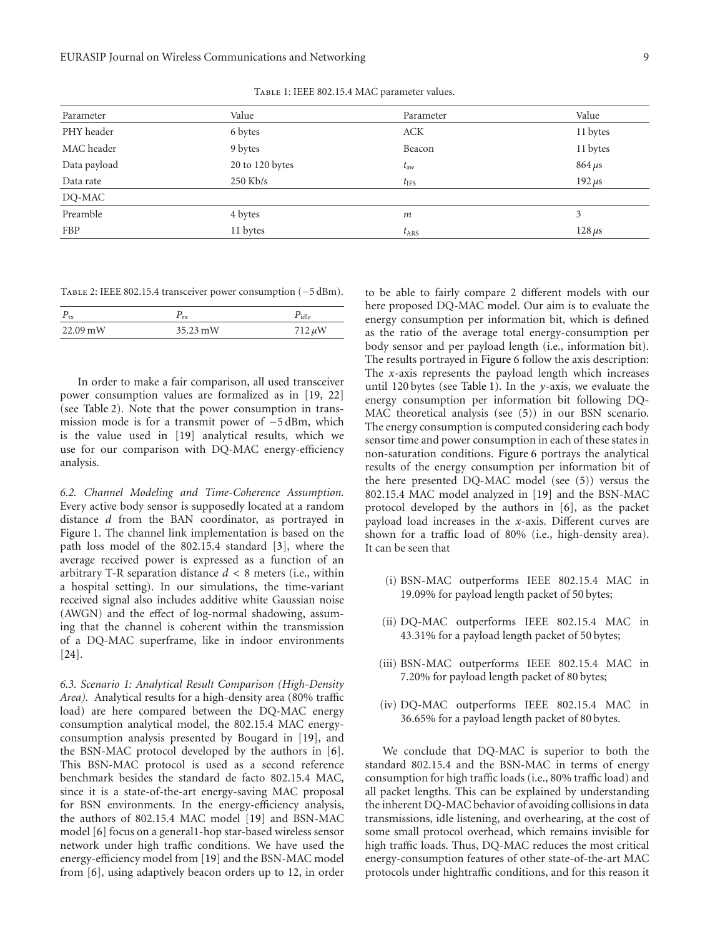| Parameter    | Value           | Parameter      | Value       |
|--------------|-----------------|----------------|-------------|
| PHY header   | 6 bytes         | <b>ACK</b>     | 11 bytes    |
| MAC header   | 9 bytes         | Beacon         | 11 bytes    |
| Data payload | 20 to 120 bytes | $t_{\rm aw}$   | $864 \mu s$ |
| Data rate    | $250$ Kb/s      | $t_{\rm{IFS}}$ | $192 \mu s$ |
| DQ-MAC       |                 |                |             |
| Preamble     | 4 bytes         | m              | 3           |
| <b>FBP</b>   | 11 bytes        | $t_{\rm ARS}$  | $128 \mu s$ |

Table 1: IEEE 802.15.4 MAC parameter values.

| TABLE 2: IEEE 802.15.4 transceiver power consumption (-5 dBm). |  |
|----------------------------------------------------------------|--|
|----------------------------------------------------------------|--|

| $\sim$                | rx       |  |
|-----------------------|----------|--|
| $22.09 \,\mathrm{mW}$ | 35.23 mW |  |

In order to make a fair comparison, all used transceiver power consumption values are formalized as in [19, 22] (see Table 2). Note that the power consumption in transmission mode is for a transmit power of −5 dBm, which is the value used in [19] analytical results, which we use for our comparison with DQ-MAC energy-efficiency analysis.

*6.2. Channel Modeling and Time-Coherence Assumption.* Every active body sensor is supposedly located at a random distance *d* from the BAN coordinator, as portrayed in Figure 1. The channel link implementation is based on the path loss model of the 802.15.4 standard [3], where the average received power is expressed as a function of an arbitrary T-R separation distance *d <* 8 meters (i.e., within a hospital setting). In our simulations, the time-variant received signal also includes additive white Gaussian noise (AWGN) and the effect of log-normal shadowing, assuming that the channel is coherent within the transmission of a DQ-MAC superframe, like in indoor environments [24].

*6.3. Scenario 1: Analytical Result Comparison (High-Density Area).* Analytical results for a high-density area (80% traffic load) are here compared between the DQ-MAC energy consumption analytical model, the 802.15.4 MAC energyconsumption analysis presented by Bougard in [19], and the BSN-MAC protocol developed by the authors in [6]. This BSN-MAC protocol is used as a second reference benchmark besides the standard de facto 802.15.4 MAC, since it is a state-of-the-art energy-saving MAC proposal for BSN environments. In the energy-efficiency analysis, the authors of 802.15.4 MAC model [19] and BSN-MAC model [6] focus on a general1-hop star-based wireless sensor network under high traffic conditions. We have used the energy-efficiency model from [19] and the BSN-MAC model from [6], using adaptively beacon orders up to 12, in order

to be able to fairly compare 2 different models with our here proposed DQ-MAC model. Our aim is to evaluate the energy consumption per information bit, which is defined as the ratio of the average total energy-consumption per body sensor and per payload length (i.e., information bit). The results portrayed in Figure 6 follow the axis description: The *x*-axis represents the payload length which increases until 120 bytes (see Table 1). In the *y*-axis, we evaluate the energy consumption per information bit following DQ-MAC theoretical analysis (see (5)) in our BSN scenario. The energy consumption is computed considering each body sensor time and power consumption in each of these states in non-saturation conditions. Figure 6 portrays the analytical results of the energy consumption per information bit of the here presented DQ-MAC model (see (5)) versus the 802.15.4 MAC model analyzed in [19] and the BSN-MAC protocol developed by the authors in [6], as the packet payload load increases in the *x*-axis. Different curves are shown for a traffic load of 80% (i.e., high-density area). It can be seen that

- (i) BSN-MAC outperforms IEEE 802.15.4 MAC in 19.09% for payload length packet of 50 bytes;
- (ii) DQ-MAC outperforms IEEE 802.15.4 MAC in 43.31% for a payload length packet of 50 bytes;
- (iii) BSN-MAC outperforms IEEE 802.15.4 MAC in 7.20% for payload length packet of 80 bytes;
- (iv) DQ-MAC outperforms IEEE 802.15.4 MAC in 36.65% for a payload length packet of 80 bytes.

We conclude that DQ-MAC is superior to both the standard 802.15.4 and the BSN-MAC in terms of energy consumption for high traffic loads (i.e., 80% traffic load) and all packet lengths. This can be explained by understanding the inherent DQ-MAC behavior of avoiding collisions in data transmissions, idle listening, and overhearing, at the cost of some small protocol overhead, which remains invisible for high traffic loads. Thus, DQ-MAC reduces the most critical energy-consumption features of other state-of-the-art MAC protocols under hightraffic conditions, and for this reason it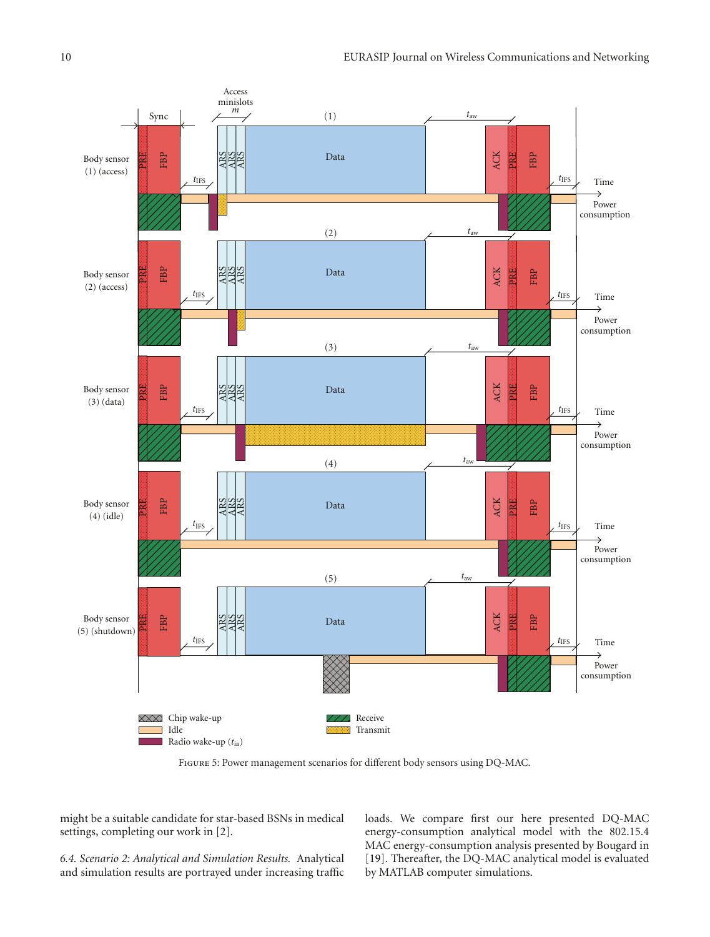

Figure 5: Power management scenarios for different body sensors using DQ-MAC.

might be a suitable candidate for star-based BSNs in medical settings, completing our work in [2].

*6.4. Scenario 2: Analytical and Simulation Results.* Analytical and simulation results are portrayed under increasing traffic loads. We compare first our here presented DQ-MAC energy-consumption analytical model with the 802.15.4 MAC energy-consumption analysis presented by Bougard in [19]. Thereafter, the DQ-MAC analytical model is evaluated by MATLAB computer simulations.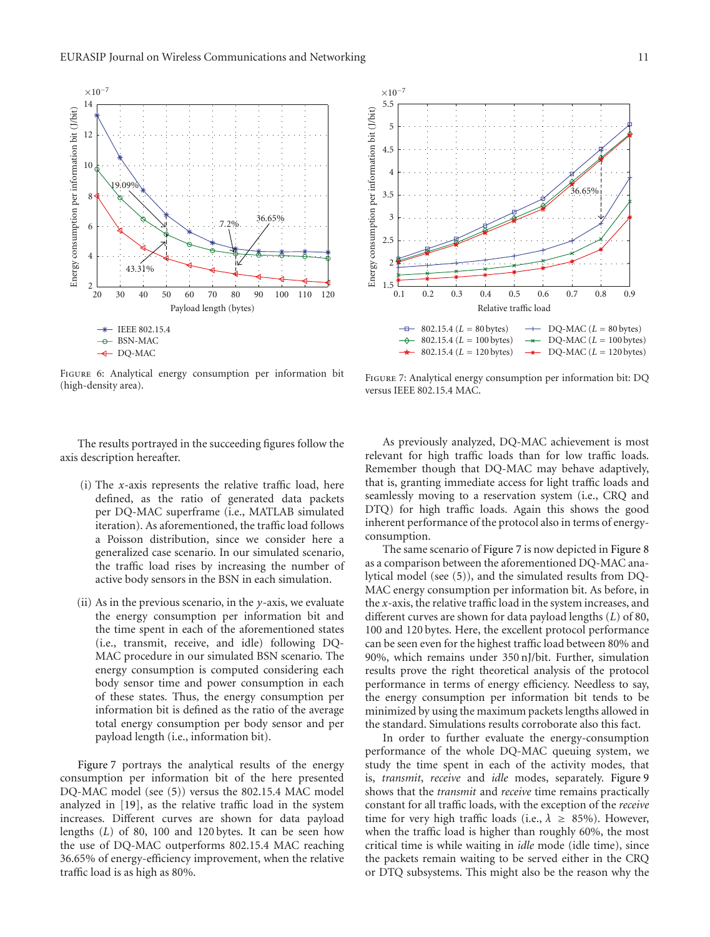

Figure 6: Analytical energy consumption per information bit (high-density area).



Figure 7: Analytical energy consumption per information bit: DQ versus IEEE 802.15.4 MAC.

The results portrayed in the succeeding figures follow the axis description hereafter.

- (i) The *x*-axis represents the relative traffic load, here defined, as the ratio of generated data packets per DQ-MAC superframe (i.e., MATLAB simulated iteration). As aforementioned, the traffic load follows a Poisson distribution, since we consider here a generalized case scenario. In our simulated scenario, the traffic load rises by increasing the number of active body sensors in the BSN in each simulation.
- (ii) As in the previous scenario, in the *y*-axis, we evaluate the energy consumption per information bit and the time spent in each of the aforementioned states (i.e., transmit, receive, and idle) following DQ-MAC procedure in our simulated BSN scenario. The energy consumption is computed considering each body sensor time and power consumption in each of these states. Thus, the energy consumption per information bit is defined as the ratio of the average total energy consumption per body sensor and per payload length (i.e., information bit).

Figure 7 portrays the analytical results of the energy consumption per information bit of the here presented DQ-MAC model (see (5)) versus the 802.15.4 MAC model analyzed in [19], as the relative traffic load in the system increases. Different curves are shown for data payload lengths (*L*) of 80, 100 and 120 bytes. It can be seen how the use of DQ-MAC outperforms 802.15.4 MAC reaching 36.65% of energy-efficiency improvement, when the relative traffic load is as high as 80%.

As previously analyzed, DQ-MAC achievement is most relevant for high traffic loads than for low traffic loads. Remember though that DQ-MAC may behave adaptively, that is, granting immediate access for light traffic loads and seamlessly moving to a reservation system (i.e., CRQ and DTQ) for high traffic loads. Again this shows the good inherent performance of the protocol also in terms of energyconsumption.

The same scenario of Figure 7 is now depicted in Figure 8 as a comparison between the aforementioned DQ-MAC analytical model (see (5)), and the simulated results from DQ-MAC energy consumption per information bit. As before, in the *x*-axis, the relative traffic load in the system increases, and different curves are shown for data payload lengths (*L*) of 80, 100 and 120 bytes. Here, the excellent protocol performance can be seen even for the highest traffic load between 80% and 90%, which remains under 350 nJ/bit. Further, simulation results prove the right theoretical analysis of the protocol performance in terms of energy efficiency. Needless to say, the energy consumption per information bit tends to be minimized by using the maximum packets lengths allowed in the standard. Simulations results corroborate also this fact.

In order to further evaluate the energy-consumption performance of the whole DQ-MAC queuing system, we study the time spent in each of the activity modes, that is, *transmit*, *receive* and *idle* modes, separately. Figure 9 shows that the *transmit* and *receive* time remains practically constant for all traffic loads, with the exception of the *receive* time for very high traffic loads (i.e.,  $\lambda \geq 85\%$ ). However, when the traffic load is higher than roughly 60%, the most critical time is while waiting in *idle* mode (idle time), since the packets remain waiting to be served either in the CRQ or DTQ subsystems. This might also be the reason why the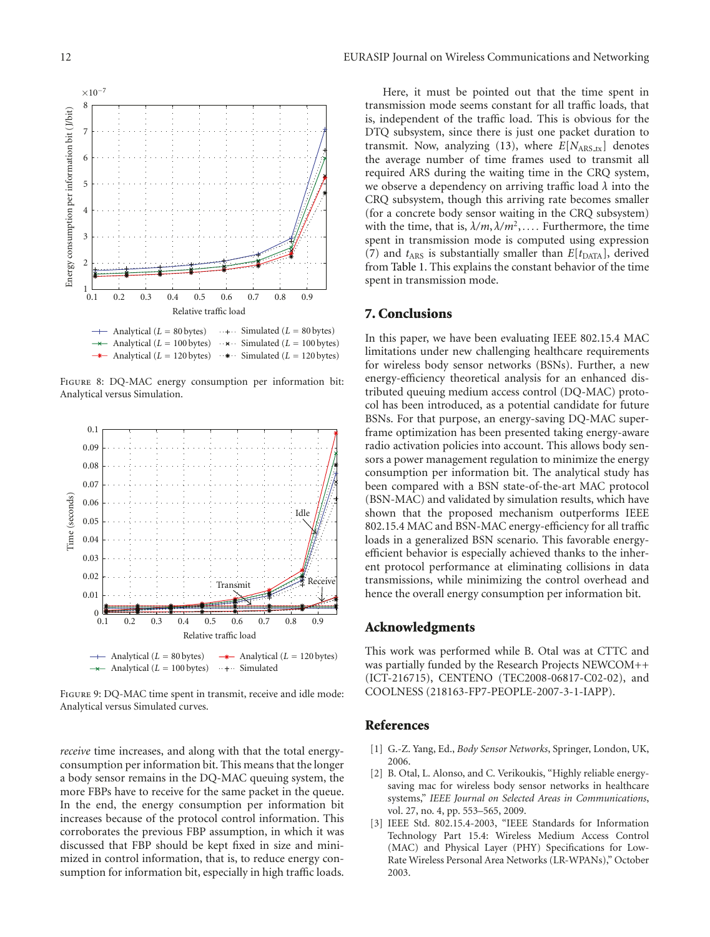Energy consumption per information bit (J/bit)

Energy consumption per information bit (J/bit)

2

3

4

5

6

7

8

*<sup>×</sup>*10*−*<sup>7</sup>



Figure 8: DQ-MAC energy consumption per information bit: Analytical versus Simulation.



Figure 9: DQ-MAC time spent in transmit, receive and idle mode: Analytical versus Simulated curves.

*receive* time increases, and along with that the total energyconsumption per information bit. This means that the longer a body sensor remains in the DQ-MAC queuing system, the more FBPs have to receive for the same packet in the queue. In the end, the energy consumption per information bit increases because of the protocol control information. This corroborates the previous FBP assumption, in which it was discussed that FBP should be kept fixed in size and minimized in control information, that is, to reduce energy consumption for information bit, especially in high traffic loads.

Here, it must be pointed out that the time spent in transmission mode seems constant for all traffic loads, that is, independent of the traffic load. This is obvious for the DTQ subsystem, since there is just one packet duration to transmit. Now, analyzing (13), where  $E[N_{ARS,tx}]$  denotes the average number of time frames used to transmit all required ARS during the waiting time in the CRQ system, we observe a dependency on arriving traffic load *λ* into the CRQ subsystem, though this arriving rate becomes smaller (for a concrete body sensor waiting in the CRQ subsystem) with the time, that is,  $\lambda/m, \lambda/m^2, \ldots$ . Furthermore, the time spent in transmission mode is computed using expression (7) and  $t_{ARS}$  is substantially smaller than  $E[t_{DATA}]$ , derived from Table 1. This explains the constant behavior of the time spent in transmission mode.

#### **7. Conclusions**

In this paper, we have been evaluating IEEE 802.15.4 MAC limitations under new challenging healthcare requirements for wireless body sensor networks (BSNs). Further, a new energy-efficiency theoretical analysis for an enhanced distributed queuing medium access control (DQ-MAC) protocol has been introduced, as a potential candidate for future BSNs. For that purpose, an energy-saving DQ-MAC superframe optimization has been presented taking energy-aware radio activation policies into account. This allows body sensors a power management regulation to minimize the energy consumption per information bit. The analytical study has been compared with a BSN state-of-the-art MAC protocol (BSN-MAC) and validated by simulation results, which have shown that the proposed mechanism outperforms IEEE 802.15.4 MAC and BSN-MAC energy-efficiency for all traffic loads in a generalized BSN scenario. This favorable energyefficient behavior is especially achieved thanks to the inherent protocol performance at eliminating collisions in data transmissions, while minimizing the control overhead and hence the overall energy consumption per information bit.

#### **Acknowledgments**

This work was performed while B. Otal was at CTTC and was partially funded by the Research Projects NEWCOM++ (ICT-216715), CENTENO (TEC2008-06817-C02-02), and COOLNESS (218163-FP7-PEOPLE-2007-3-1-IAPP).

#### **References**

- [1] G.-Z. Yang, Ed., *Body Sensor Networks*, Springer, London, UK, 2006.
- [2] B. Otal, L. Alonso, and C. Verikoukis, "Highly reliable energysaving mac for wireless body sensor networks in healthcare systems," *IEEE Journal on Selected Areas in Communications*, vol. 27, no. 4, pp. 553–565, 2009.
- [3] IEEE Std. 802.15.4-2003, "IEEE Standards for Information Technology Part 15.4: Wireless Medium Access Control (MAC) and Physical Layer (PHY) Specifications for Low-Rate Wireless Personal Area Networks (LR-WPANs)," October 2003.